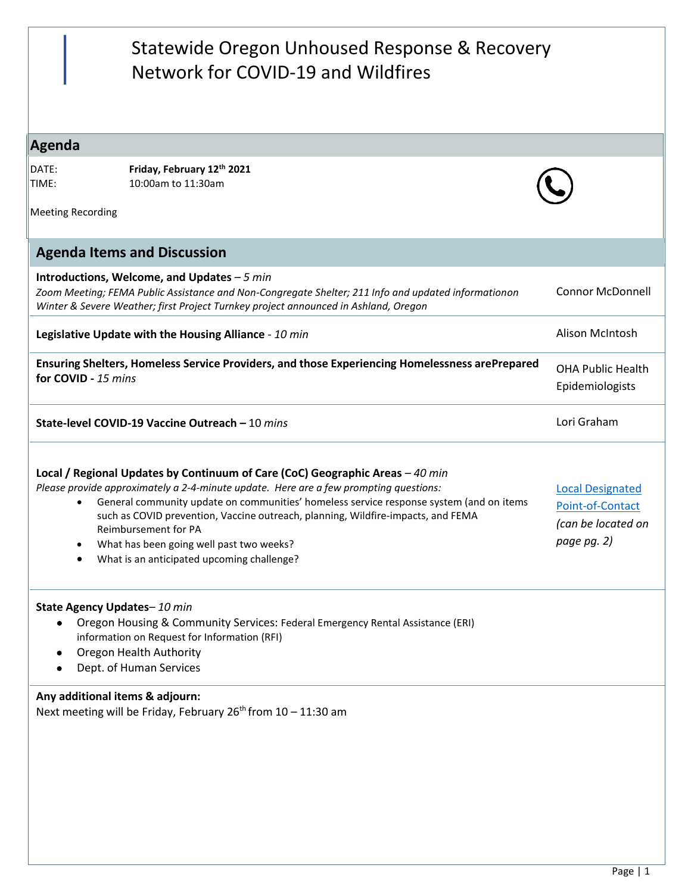|                                                                                                                                                                                                                                                                       | Statewide Oregon Unhoused Response & Recovery<br><b>Network for COVID-19 and Wildfires</b>                                                                                                                                                                                                                                                                                                                                                                               |                                                                                  |  |  |
|-----------------------------------------------------------------------------------------------------------------------------------------------------------------------------------------------------------------------------------------------------------------------|--------------------------------------------------------------------------------------------------------------------------------------------------------------------------------------------------------------------------------------------------------------------------------------------------------------------------------------------------------------------------------------------------------------------------------------------------------------------------|----------------------------------------------------------------------------------|--|--|
| Agenda                                                                                                                                                                                                                                                                |                                                                                                                                                                                                                                                                                                                                                                                                                                                                          |                                                                                  |  |  |
| DATE:<br>TIME:<br><b>Meeting Recording</b>                                                                                                                                                                                                                            | Friday, February 12th 2021<br>10:00am to 11:30am                                                                                                                                                                                                                                                                                                                                                                                                                         |                                                                                  |  |  |
|                                                                                                                                                                                                                                                                       | <b>Agenda Items and Discussion</b>                                                                                                                                                                                                                                                                                                                                                                                                                                       |                                                                                  |  |  |
| Introductions, Welcome, and Updates $-5$ min<br><b>Connor McDonnell</b><br>Zoom Meeting; FEMA Public Assistance and Non-Congregate Shelter; 211 Info and updated informationon<br>Winter & Severe Weather; first Project Turnkey project announced in Ashland, Oregon |                                                                                                                                                                                                                                                                                                                                                                                                                                                                          |                                                                                  |  |  |
|                                                                                                                                                                                                                                                                       | Legislative Update with the Housing Alliance - 10 min                                                                                                                                                                                                                                                                                                                                                                                                                    | Alison McIntosh                                                                  |  |  |
| for COVID - 15 mins                                                                                                                                                                                                                                                   | Ensuring Shelters, Homeless Service Providers, and those Experiencing Homelessness arePrepared                                                                                                                                                                                                                                                                                                                                                                           | <b>OHA Public Health</b><br>Epidemiologists                                      |  |  |
| State-level COVID-19 Vaccine Outreach - 10 mins                                                                                                                                                                                                                       | Lori Graham                                                                                                                                                                                                                                                                                                                                                                                                                                                              |                                                                                  |  |  |
| $\bullet$                                                                                                                                                                                                                                                             | Local / Regional Updates by Continuum of Care (CoC) Geographic Areas $-40$ min<br>Please provide approximately a 2-4-minute update. Here are a few prompting questions:<br>General community update on communities' homeless service response system (and on items<br>such as COVID prevention, Vaccine outreach, planning, Wildfire-impacts, and FEMA<br>Reimbursement for PA<br>What has been going well past two weeks?<br>What is an anticipated upcoming challenge? | <b>Local Designated</b><br>Point-of-Contact<br>(can be located on<br>page pg. 2) |  |  |
| State Agency Updates-10 min                                                                                                                                                                                                                                           | Oregon Housing & Community Services: Federal Emergency Rental Assistance (ERI)<br>information on Request for Information (RFI)<br>Oregon Health Authority<br>Dept. of Human Services<br>Any additional items & adjourn:<br>Next meeting will be Friday, February $26th$ from $10 - 11:30$ am                                                                                                                                                                             |                                                                                  |  |  |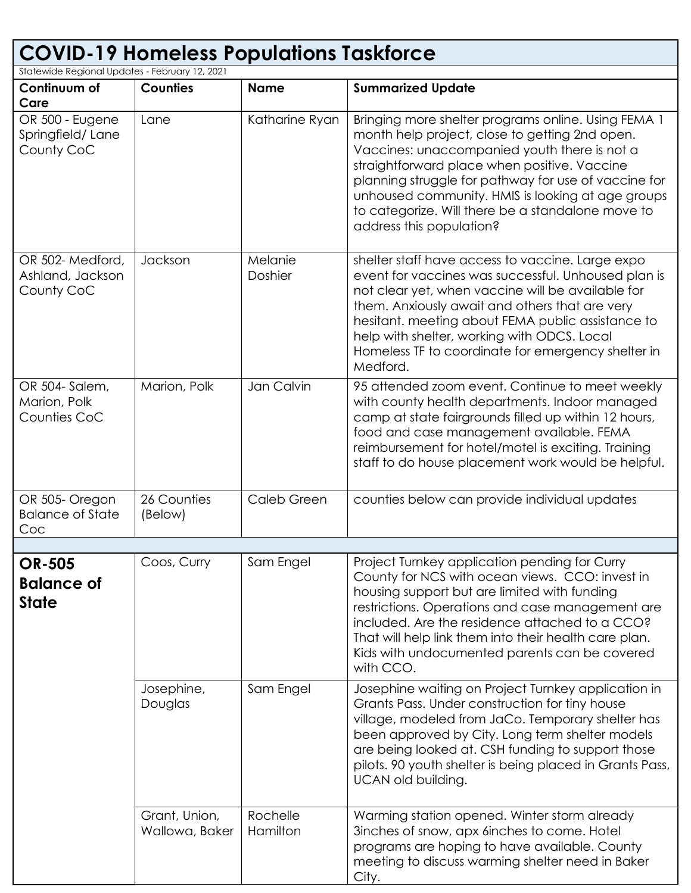| <b>COVID-19 Homeless Populations Taskforce</b>     |                                 |                      |                                                                                                                                                                                                                                                                                                                                                                                                     |  |
|----------------------------------------------------|---------------------------------|----------------------|-----------------------------------------------------------------------------------------------------------------------------------------------------------------------------------------------------------------------------------------------------------------------------------------------------------------------------------------------------------------------------------------------------|--|
| Statewide Regional Updates - February 12, 2021     |                                 |                      |                                                                                                                                                                                                                                                                                                                                                                                                     |  |
| Continuum of<br>Care                               | <b>Counties</b>                 | <b>Name</b>          | <b>Summarized Update</b>                                                                                                                                                                                                                                                                                                                                                                            |  |
| OR 500 - Eugene<br>Springfield/Lane<br>County CoC  | Lane                            | Katharine Ryan       | Bringing more shelter programs online. Using FEMA 1<br>month help project, close to getting 2nd open.<br>Vaccines: unaccompanied youth there is not a<br>straightforward place when positive. Vaccine<br>planning struggle for pathway for use of vaccine for<br>unhoused community. HMIS is looking at age groups<br>to categorize. Will there be a standalone move to<br>address this population? |  |
| OR 502-Medford,<br>Ashland, Jackson<br>County CoC  | Jackson                         | Melanie<br>Doshier   | shelter staff have access to vaccine. Large expo<br>event for vaccines was successful. Unhoused plan is<br>not clear yet, when vaccine will be available for<br>them. Anxiously await and others that are very<br>hesitant. meeting about FEMA public assistance to<br>help with shelter, working with ODCS. Local<br>Homeless TF to coordinate for emergency shelter in<br>Medford.                |  |
| OR 504-Salem,<br>Marion, Polk<br>Counties CoC      | Marion, Polk                    | Jan Calvin           | 95 attended zoom event. Continue to meet weekly<br>with county health departments. Indoor managed<br>camp at state fairgrounds filled up within 12 hours,<br>food and case management available. FEMA<br>reimbursement for hotel/motel is exciting. Training<br>staff to do house placement work would be helpful.                                                                                  |  |
| OR 505-Oregon<br><b>Balance of State</b><br>Coc    | 26 Counties<br>(Below)          | Caleb Green          | counties below can provide individual updates                                                                                                                                                                                                                                                                                                                                                       |  |
|                                                    |                                 |                      |                                                                                                                                                                                                                                                                                                                                                                                                     |  |
| <b>OR-505</b><br><b>Balance of</b><br><b>State</b> | Coos, Curry                     | Sam Engel            | Project Turnkey application pending for Curry<br>County for NCS with ocean views. CCO: invest in<br>housing support but are limited with funding<br>restrictions. Operations and case management are<br>included. Are the residence attached to a CCO?<br>That will help link them into their health care plan.<br>Kids with undocumented parents can be covered<br>with CCO.                       |  |
|                                                    | Josephine,<br>Douglas           | Sam Engel            | Josephine waiting on Project Turnkey application in<br>Grants Pass. Under construction for tiny house<br>village, modeled from JaCo. Temporary shelter has<br>been approved by City. Long term shelter models<br>are being looked at. CSH funding to support those<br>pilots. 90 youth shelter is being placed in Grants Pass,<br>UCAN old building.                                                |  |
|                                                    | Grant, Union,<br>Wallowa, Baker | Rochelle<br>Hamilton | Warming station opened. Winter storm already<br>3inches of snow, apx 6inches to come. Hotel<br>programs are hoping to have available. County<br>meeting to discuss warming shelter need in Baker<br>City.                                                                                                                                                                                           |  |